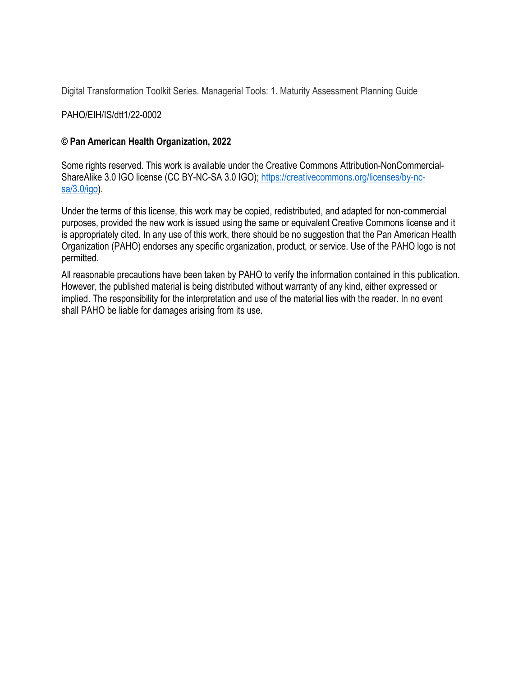Digital Transformation Toolkit Series. Managerial Tools: 1. Maturity Assessment Planning Guide

PAHO/EIH/IS/dtt1/22-0002

#### **© Pan American Health Organization, 2022**

Some rights reserved. This work is available under the Creative Commons Attribution-NonCommercialShareAlike 3.0 IGO license (CC BY-NC-SA 3.0 IGO); [https://creativecommons.org/licenses/by-nc](https://creativecommons.org/licenses/by-nc-sa/3.0/igo)[sa/3.0/igo\)](https://creativecommons.org/licenses/by-nc-sa/3.0/igo).

Under the terms of this license, this work may be copied, redistributed, and adapted for non-commercial purposes, provided the new work is issued using the same or equivalent Creative Commons license and it is appropriately cited. In any use of this work, there should be no suggestion that the Pan American Health Organization (PAHO) endorses any specific organization, product, or service. Use of the PAHO logo is not permitted.

All reasonable precautions have been taken by PAHO to verify the information contained in this publication. However, the published material is being distributed without warranty of any kind, either expressed or implied. The responsibility for the interpretation and use of the material lies with the reader. In no event shall PAHO be liable for damages arising from its use.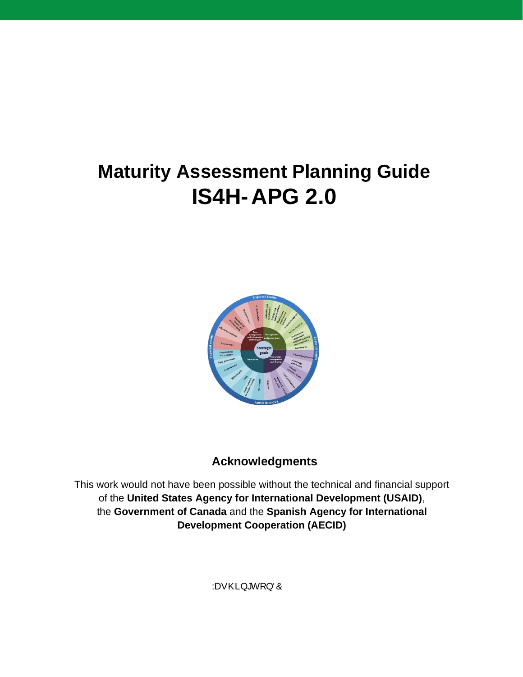# **Maturity Assessment Planning Guide IS4H-APG 2.0**



# **Acknowledgments**

This work would not have been possible without the technical and financial support of the **United States Agency for International Development (USAID)**, the **Government of Canada** and the **Spanish Agency for International Development Cooperation (AECID)**

:DVKLQJWRQ'&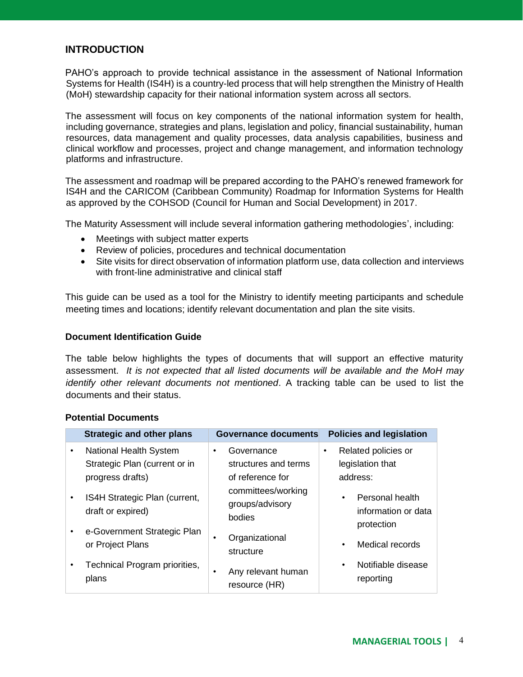#### **INTRODUCTION**

PAHO's approach to provide technical assistance in the assessment of National Information Systems for Health (IS4H) is a country-led process that will help strengthen the Ministry of Health (MoH) stewardship capacity for their national information system across all sectors.

The assessment will focus on key components of the national information system for health, including governance, strategies and plans, legislation and policy, financial sustainability, human resources, data management and quality processes, data analysis capabilities, business and clinical workflow and processes, project and change management, and information technology platforms and infrastructure.

The assessment and roadmap will be prepared according to the PAHO's renewed framework for IS4H and the CARICOM (Caribbean Community) Roadmap for Information Systems for Health as approved by the COHSOD (Council for Human and Social Development) in 2017.

The Maturity Assessment will include several information gathering methodologies', including:

- Meetings with subject matter experts
- Review of policies, procedures and technical documentation
- Site visits for direct observation of information platform use, data collection and interviews with front-line administrative and clinical staff

This guide can be used as a tool for the Ministry to identify meeting participants and schedule meeting times and locations; identify relevant documentation and plan the site visits.

#### **Document Identification Guide**

The table below highlights the types of documents that will support an effective maturity assessment. *It is not expected that all listed documents will be available and the MoH may identify other relevant documents not mentioned*. A tracking table can be used to list the documents and their status.

#### **Potential Documents**

|           | <b>Strategic and other plans</b>                                            | Governance documents                                   | <b>Policies and legislation</b>                                  |
|-----------|-----------------------------------------------------------------------------|--------------------------------------------------------|------------------------------------------------------------------|
| $\bullet$ | National Health System<br>Strategic Plan (current or in<br>progress drafts) | Governance<br>structures and terms<br>of reference for | Related policies or<br>$\bullet$<br>legislation that<br>address: |
|           | IS4H Strategic Plan (current,<br>draft or expired)                          | committees/working<br>groups/advisory<br>bodies        | Personal health<br>information or data<br>protection             |
|           | e-Government Strategic Plan<br>or Project Plans                             | Organizational<br>structure                            | Medical records                                                  |
|           | Technical Program priorities,<br>plans                                      | Any relevant human<br>٠<br>resource (HR)               | Notifiable disease<br>reporting                                  |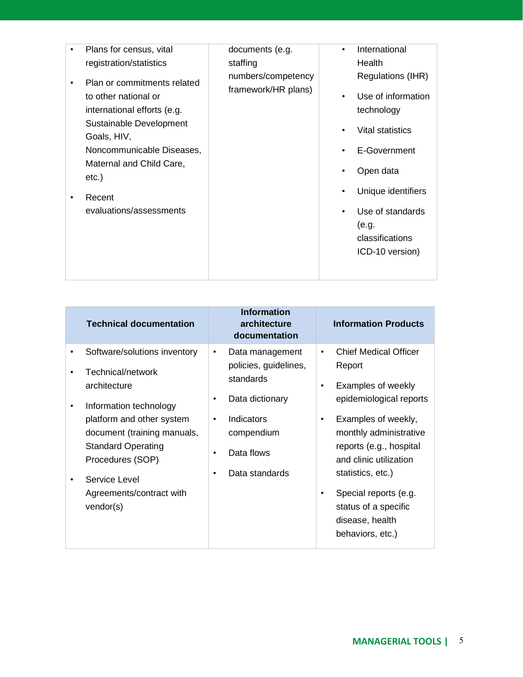| Plans for census, vital                                                                                                                                                                                                                | documents (e.g.                           | $\bullet$ | International                                                                                                                                                                                   |
|----------------------------------------------------------------------------------------------------------------------------------------------------------------------------------------------------------------------------------------|-------------------------------------------|-----------|-------------------------------------------------------------------------------------------------------------------------------------------------------------------------------------------------|
| registration/statistics                                                                                                                                                                                                                | staffing                                  |           | Health                                                                                                                                                                                          |
| Plan or commitments related<br>to other national or<br>international efforts (e.g.<br>Sustainable Development<br>Goals, HIV,<br>Noncommunicable Diseases,<br>Maternal and Child Care,<br>$etc.$ )<br>Recent<br>evaluations/assessments | numbers/competency<br>framework/HR plans) |           | Regulations (IHR)<br>Use of information<br>technology<br>Vital statistics<br>E-Government<br>Open data<br>Unique identifiers<br>Use of standards<br>(e.g.<br>classifications<br>ICD-10 version) |
|                                                                                                                                                                                                                                        |                                           |           |                                                                                                                                                                                                 |

|   | <b>Technical documentation</b>                |           | <b>Information</b><br>architecture<br>documentation |                      | <b>Information Products</b>                       |
|---|-----------------------------------------------|-----------|-----------------------------------------------------|----------------------|---------------------------------------------------|
|   | Software/solutions inventory                  | ٠         | Data management                                     | $\bullet$            | <b>Chief Medical Officer</b>                      |
|   | Technical/network<br>architecture             |           | policies, guidelines,<br>standards                  | ٠                    | Report<br>Examples of weekly                      |
| ٠ | Information technology                        | ٠         | Data dictionary                                     |                      | epidemiological reports                           |
|   | platform and other system                     | $\bullet$ | Indicators                                          | $\bullet$            | Examples of weekly,                               |
|   | document (training manuals,                   |           | compendium                                          |                      | monthly administrative                            |
|   | <b>Standard Operating</b><br>Procedures (SOP) | $\bullet$ | Data flows                                          |                      | reports (e.g., hospital<br>and clinic utilization |
|   | Service Level                                 | ٠         | Data standards                                      |                      | statistics, etc.)                                 |
|   | Agreements/contract with<br>vendor(s)         |           |                                                     | ٠                    | Special reports (e.g.                             |
|   |                                               |           |                                                     | status of a specific |                                                   |
|   |                                               |           |                                                     |                      | disease, health                                   |
|   |                                               |           |                                                     |                      | behaviors, etc.)                                  |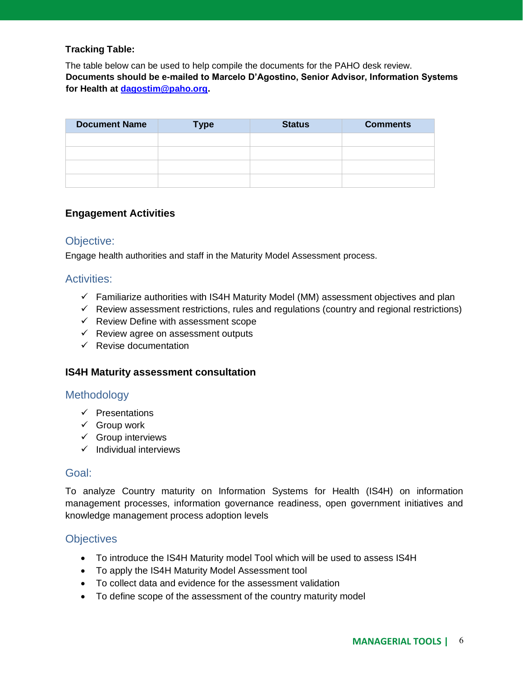#### **Tracking Table:**

The table below can be used to help compile the documents for the PAHO desk review. **Documents should be e-mailed to Marcelo D'Agostino, Senior Advisor, Information Systems for Health at [dagostim@paho.org.](mailto:dagostim@paho.org)** 

| <b>Document Name</b> | <b>Type</b> | <b>Status</b> | <b>Comments</b> |
|----------------------|-------------|---------------|-----------------|
|                      |             |               |                 |
|                      |             |               |                 |
|                      |             |               |                 |
|                      |             |               |                 |

#### **Engagement Activities**

#### Objective:

Engage health authorities and staff in the Maturity Model Assessment process.

#### Activities:

- $\checkmark$  Familiarize authorities with IS4H Maturity Model (MM) assessment objectives and plan
- $\checkmark$  Review assessment restrictions, rules and regulations (country and regional restrictions)
- ✓ Review Define with assessment scope
- ✓ Review agree on assessment outputs
- $\checkmark$  Revise documentation

#### **IS4H Maturity assessment consultation**

#### **Methodology**

- ✓ Presentations
- $\checkmark$  Group work
- $\checkmark$  Group interviews
- ✓ Individual interviews

#### Goal:

To analyze Country maturity on Information Systems for Health (IS4H) on information management processes, information governance readiness, open government initiatives and knowledge management process adoption levels

#### **Objectives**

- To introduce the IS4H Maturity model Tool which will be used to assess IS4H
- To apply the IS4H Maturity Model Assessment tool
- To collect data and evidence for the assessment validation
- To define scope of the assessment of the country maturity model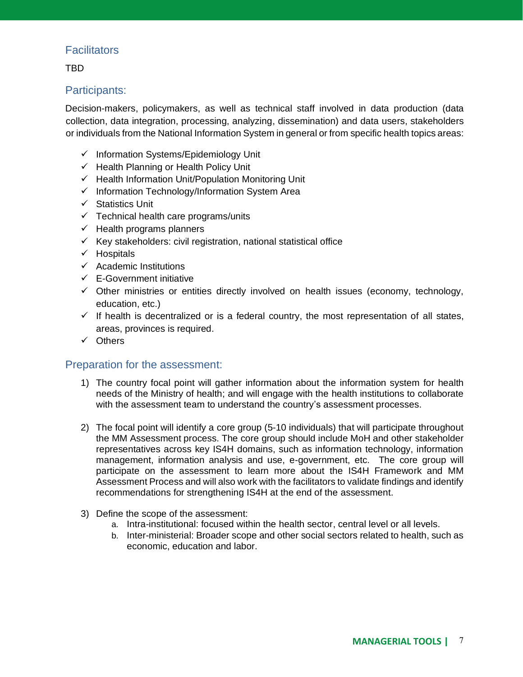# **Facilitators**

TBD

## Participants:

Decision-makers, policymakers, as well as technical staff involved in data production (data collection, data integration, processing, analyzing, dissemination) and data users, stakeholders or individuals from the National Information System in general or from specific health topics areas:

- ✓ Information Systems/Epidemiology Unit
- ✓ Health Planning or Health Policy Unit
- ✓ Health Information Unit/Population Monitoring Unit
- $\checkmark$  Information Technology/Information System Area
- ✓ Statistics Unit
- $\checkmark$  Technical health care programs/units
- $\checkmark$  Health programs planners
- $\checkmark$  Key stakeholders: civil registration, national statistical office
- ✓ Hospitals
- $\checkmark$  Academic Institutions
- $\checkmark$  E-Government initiative
- $\checkmark$  Other ministries or entities directly involved on health issues (economy, technology, education, etc.)
- $\checkmark$  If health is decentralized or is a federal country, the most representation of all states, areas, provinces is required.
- ✓ Others

#### Preparation for the assessment:

- 1) The country focal point will gather information about the information system for health needs of the Ministry of health; and will engage with the health institutions to collaborate with the assessment team to understand the country's assessment processes.
- 2) The focal point will identify a core group (5-10 individuals) that will participate throughout the MM Assessment process. The core group should include MoH and other stakeholder representatives across key IS4H domains, such as information technology, information management, information analysis and use, e-government, etc. The core group will participate on the assessment to learn more about the IS4H Framework and MM Assessment Process and will also work with the facilitators to validate findings and identify recommendations for strengthening IS4H at the end of the assessment.
- 3) Define the scope of the assessment:
	- a. Intra-institutional: focused within the health sector, central level or all levels.
	- b. Inter-ministerial: Broader scope and other social sectors related to health, such as economic, education and labor.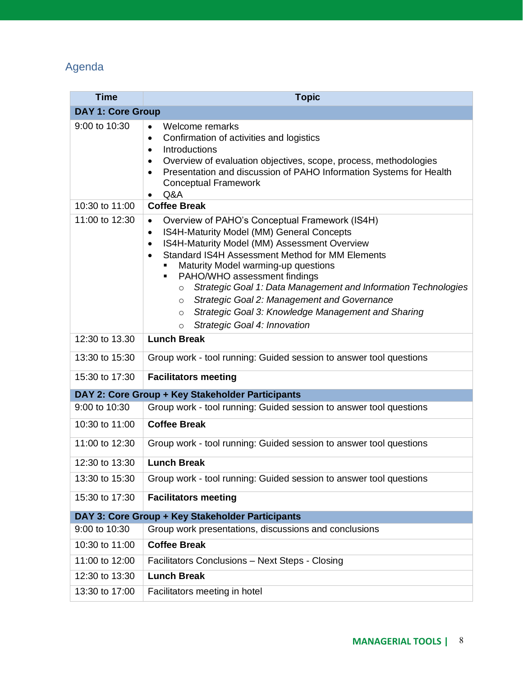# Agenda

| <b>Time</b>              | <b>Topic</b>                                                                                                                                                                                                                                                                                                                                                                                                                                                                                                                                               |  |  |  |  |
|--------------------------|------------------------------------------------------------------------------------------------------------------------------------------------------------------------------------------------------------------------------------------------------------------------------------------------------------------------------------------------------------------------------------------------------------------------------------------------------------------------------------------------------------------------------------------------------------|--|--|--|--|
| <b>DAY 1: Core Group</b> |                                                                                                                                                                                                                                                                                                                                                                                                                                                                                                                                                            |  |  |  |  |
| 9:00 to 10:30            | Welcome remarks<br>$\bullet$<br>Confirmation of activities and logistics<br>$\bullet$<br>Introductions<br>$\bullet$<br>Overview of evaluation objectives, scope, process, methodologies<br>$\bullet$<br>Presentation and discussion of PAHO Information Systems for Health<br>$\bullet$<br><b>Conceptual Framework</b><br>Q&A<br>$\bullet$                                                                                                                                                                                                                 |  |  |  |  |
| 10:30 to 11:00           | <b>Coffee Break</b>                                                                                                                                                                                                                                                                                                                                                                                                                                                                                                                                        |  |  |  |  |
| 11:00 to 12:30           | Overview of PAHO's Conceptual Framework (IS4H)<br>$\bullet$<br>IS4H-Maturity Model (MM) General Concepts<br>$\bullet$<br>IS4H-Maturity Model (MM) Assessment Overview<br>$\bullet$<br>Standard IS4H Assessment Method for MM Elements<br>Maturity Model warming-up questions<br>PAHO/WHO assessment findings<br>Strategic Goal 1: Data Management and Information Technologies<br>$\circ$<br>Strategic Goal 2: Management and Governance<br>$\Omega$<br>Strategic Goal 3: Knowledge Management and Sharing<br>$\circ$<br>Strategic Goal 4: Innovation<br>O |  |  |  |  |
| 12:30 to 13.30           | <b>Lunch Break</b>                                                                                                                                                                                                                                                                                                                                                                                                                                                                                                                                         |  |  |  |  |
| 13:30 to 15:30           | Group work - tool running: Guided session to answer tool questions                                                                                                                                                                                                                                                                                                                                                                                                                                                                                         |  |  |  |  |
| 15:30 to 17:30           | <b>Facilitators meeting</b>                                                                                                                                                                                                                                                                                                                                                                                                                                                                                                                                |  |  |  |  |
|                          | DAY 2: Core Group + Key Stakeholder Participants                                                                                                                                                                                                                                                                                                                                                                                                                                                                                                           |  |  |  |  |
| 9:00 to 10:30            | Group work - tool running: Guided session to answer tool questions                                                                                                                                                                                                                                                                                                                                                                                                                                                                                         |  |  |  |  |
| 10:30 to 11:00           | <b>Coffee Break</b>                                                                                                                                                                                                                                                                                                                                                                                                                                                                                                                                        |  |  |  |  |
| 11:00 to 12:30           | Group work - tool running: Guided session to answer tool questions                                                                                                                                                                                                                                                                                                                                                                                                                                                                                         |  |  |  |  |
| 12:30 to 13:30           | <b>Lunch Break</b>                                                                                                                                                                                                                                                                                                                                                                                                                                                                                                                                         |  |  |  |  |
| 13:30 to 15:30           | Group work - tool running: Guided session to answer tool questions                                                                                                                                                                                                                                                                                                                                                                                                                                                                                         |  |  |  |  |
| 15:30 to 17:30           | <b>Facilitators meeting</b>                                                                                                                                                                                                                                                                                                                                                                                                                                                                                                                                |  |  |  |  |
|                          | DAY 3: Core Group + Key Stakeholder Participants                                                                                                                                                                                                                                                                                                                                                                                                                                                                                                           |  |  |  |  |
| 9:00 to 10:30            | Group work presentations, discussions and conclusions                                                                                                                                                                                                                                                                                                                                                                                                                                                                                                      |  |  |  |  |
| 10:30 to 11:00           | <b>Coffee Break</b>                                                                                                                                                                                                                                                                                                                                                                                                                                                                                                                                        |  |  |  |  |
| 11:00 to 12:00           | Facilitators Conclusions - Next Steps - Closing                                                                                                                                                                                                                                                                                                                                                                                                                                                                                                            |  |  |  |  |
| 12:30 to 13:30           | <b>Lunch Break</b>                                                                                                                                                                                                                                                                                                                                                                                                                                                                                                                                         |  |  |  |  |
| 13:30 to 17:00           | Facilitators meeting in hotel                                                                                                                                                                                                                                                                                                                                                                                                                                                                                                                              |  |  |  |  |